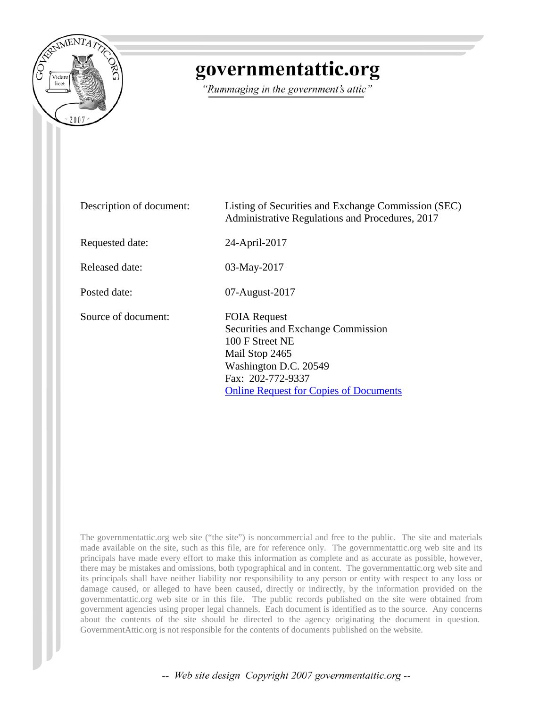

# governmentattic.org

"Rummaging in the government's attic"

| Description of document: | Listing of Securities and Exchange Commission (SEC)<br>Administrative Regulations and Procedures, 2017                                                                                        |
|--------------------------|-----------------------------------------------------------------------------------------------------------------------------------------------------------------------------------------------|
| Requested date:          | 24-April-2017                                                                                                                                                                                 |
| Released date:           | 03-May-2017                                                                                                                                                                                   |
| Posted date:             | 07-August-2017                                                                                                                                                                                |
| Source of document:      | <b>FOIA Request</b><br>Securities and Exchange Commission<br>100 F Street NE<br>Mail Stop 2465<br>Washington D.C. 20549<br>Fax: 202-772-9337<br><b>Online Request for Copies of Documents</b> |

The governmentattic.org web site ("the site") is noncommercial and free to the public. The site and materials made available on the site, such as this file, are for reference only. The governmentattic.org web site and its principals have made every effort to make this information as complete and as accurate as possible, however, there may be mistakes and omissions, both typographical and in content. The governmentattic.org web site and its principals shall have neither liability nor responsibility to any person or entity with respect to any loss or damage caused, or alleged to have been caused, directly or indirectly, by the information provided on the governmentattic.org web site or in this file. The public records published on the site were obtained from government agencies using proper legal channels. Each document is identified as to the source. Any concerns about the contents of the site should be directed to the agency originating the document in question. GovernmentAttic.org is not responsible for the contents of documents published on the website.

-- Web site design Copyright 2007 governmentattic.org --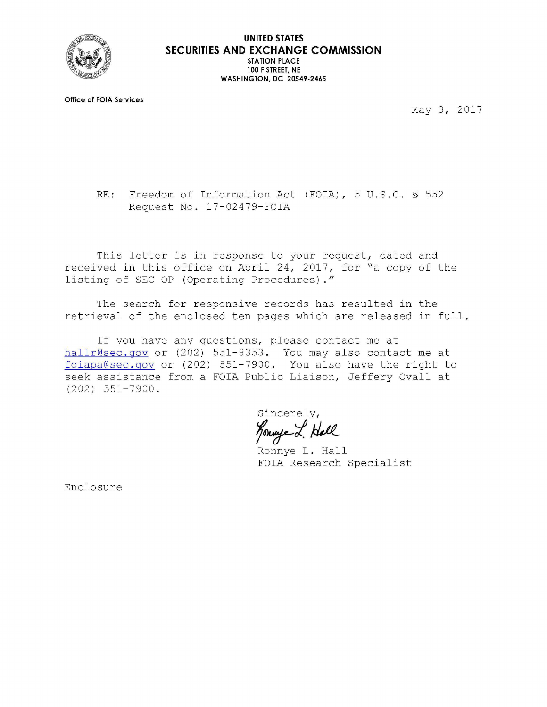

**Office of FOIA Services** 

May 3, 2017

RE: Freedom of Information Act (FOIA), 5 U.S.C. § 552 Request No. 17-02479-FOIA

This letter is in response to your request, dated and received in this office on April 24, 2017, for "a copy of the listing of SEC OP (Operating Procedures)."

The search for responsive records has resulted in the retrieval of the enclosed ten pages which are released in full.

If you have any questions, please contact me at hallr@sec.gov or (202) 551-8353. You may also contact me at foi apa@sec.gov or (202) 551-7900. You also have the right to seek assistance from a FOIA Public Liaison, Jeffery Ovall at (202) 551-7900.

Sincerely, Konnye L. Hall

Ronnye L. Hall FOIA Research Specialist

Enclosure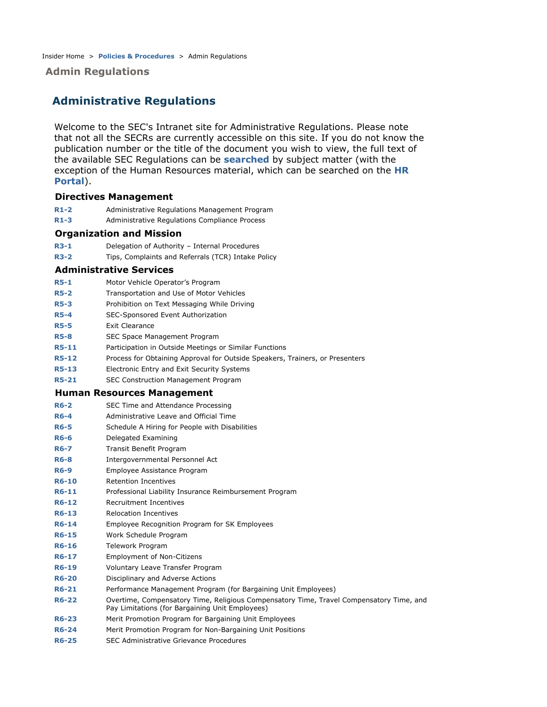### **Admin Regulations**

# **Administrative Regulations**

Welcome to the SEC's Intranet site for Administrative Regulations. Please note that not all the SECRs are currently accessible on this site. If you do not know the publication number or the title of the document you wish to view, the full text of the available SEC Regulations can be **searched** by subject matter (with the exception of the Human Resources material, which can be searched on the **HR Portal**).

#### **Directives Management**

- **R1-2** Administrative Regulations Management Program
- **R1-3** Administrative Regulations Compliance Process

#### **Organization and Mission**

- **R3-1** Delegation of Authority Internal Procedures
- **R3-2** Tips, Complaints and Referrals (TCR) Intake Policy

#### **Administrative Services**

- **R5-1** Motor Vehicle Operator's Program
- **R5-2** Transportation and Use of Motor Vehicles
- **R5-3** Prohibition on Text Messaging While Driving
- **R5-4** SEC-Sponsored Event Authorization
- **R5-5** Exit Clearance
- **R5-8** SEC Space Management Program
- **R5-11** Participation in Outside Meetings or Similar Functions
- **R5-12** Process for Obtaining Approval for Outside Speakers, Trainers, or Presenters
- **R5-13** Electronic Entry and Exit Security Systems
- **R5-21** SEC Construction Management Program

#### **Human Resources Management**

- **R6-2** SEC Time and Attendance Processing
- **R6-4** Administrative Leave and Official Time
- **R6-5** Schedule A Hiring for People with Disabilities
- **R6-6** Delegated Examining
- **R6-7** Transit Benefit Program
- **R6-8** Intergovernmental Personnel Act
- **R6-9** Employee Assistance Program
- **R6-10** Retention Incentives
- **R6-11** Professional Liability Insurance Reimbursement Program
- **R6-12** Recruitment Incentives
- **R6-13** Relocation Incentives
- **R6-14** Employee Recognition Program for SK Employees
- **R6-15** Work Schedule Program
- **R6-16** Telework Program
- **R6-17** Employment of Non-Citizens
- **R6-19** Voluntary Leave Transfer Program
- **R6-20** Disciplinary and Adverse Actions
- **R6-21** Performance Management Program (for Bargaining Unit Employees)
- **R6-22** Overtime, Compensatory Time, Religious Compensatory Time, Travel Compensatory Time, and Pay Limitations (for Bargaining Unit Employees)
- **R6-23** Merit Promotion Program for Bargaining Unit Employees
- **R6-24** Merit Promotion Program for Non-Bargaining Unit Positions
- **R6-25** SEC Administrative Grievance Procedures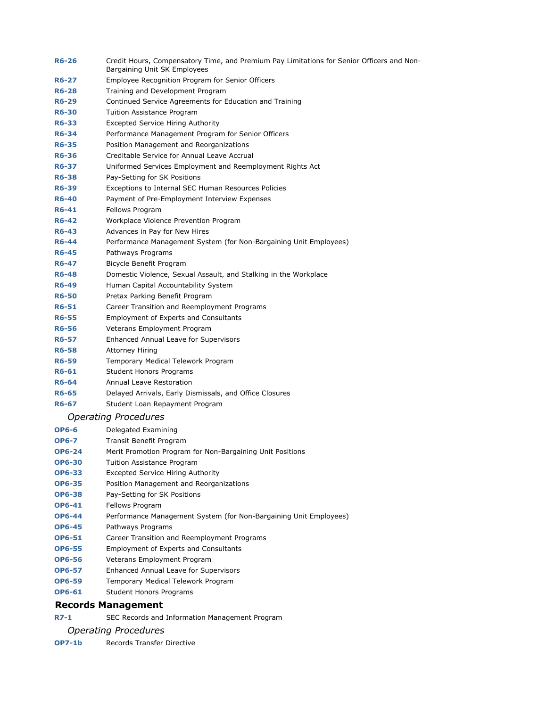| <b>R6-26</b> | Credit Hours, Compensatory Time, and Premium Pay Limitations for Senior Officers and Non-<br>Bargaining Unit SK Employees |
|--------------|---------------------------------------------------------------------------------------------------------------------------|
| <b>R6-27</b> | Employee Recognition Program for Senior Officers                                                                          |
| <b>R6-28</b> | Training and Development Program                                                                                          |
| <b>R6-29</b> | Continued Service Agreements for Education and Training                                                                   |
| <b>R6-30</b> | Tuition Assistance Program                                                                                                |
| <b>R6-33</b> | <b>Excepted Service Hiring Authority</b>                                                                                  |
| <b>R6-34</b> | Performance Management Program for Senior Officers                                                                        |
| <b>R6-35</b> | Position Management and Reorganizations                                                                                   |
| <b>R6-36</b> | Creditable Service for Annual Leave Accrual                                                                               |
| <b>R6-37</b> | Uniformed Services Employment and Reemployment Rights Act                                                                 |
| <b>R6-38</b> | Pay-Setting for SK Positions                                                                                              |
| <b>R6-39</b> | Exceptions to Internal SEC Human Resources Policies                                                                       |
| <b>R6-40</b> | Payment of Pre-Employment Interview Expenses                                                                              |
| R6-41        | Fellows Program                                                                                                           |
| <b>R6-42</b> | Workplace Violence Prevention Program                                                                                     |
| <b>R6-43</b> | Advances in Pay for New Hires                                                                                             |
| <b>R6-44</b> | Performance Management System (for Non-Bargaining Unit Employees)                                                         |
| <b>R6-45</b> | Pathways Programs                                                                                                         |
| <b>R6-47</b> | Bicycle Benefit Program                                                                                                   |
| <b>R6-48</b> | Domestic Violence, Sexual Assault, and Stalking in the Workplace                                                          |
| <b>R6-49</b> | Human Capital Accountability System                                                                                       |
| <b>R6-50</b> | Pretax Parking Benefit Program                                                                                            |
| <b>R6-51</b> | Career Transition and Reemployment Programs                                                                               |
| <b>R6-55</b> | <b>Employment of Experts and Consultants</b>                                                                              |
| <b>R6-56</b> | Veterans Employment Program                                                                                               |
| <b>R6-57</b> | Enhanced Annual Leave for Supervisors                                                                                     |
| <b>R6-58</b> | <b>Attorney Hiring</b>                                                                                                    |
| <b>R6-59</b> | Temporary Medical Telework Program                                                                                        |
| <b>R6-61</b> | <b>Student Honors Programs</b>                                                                                            |
| <b>R6-64</b> | Annual Leave Restoration                                                                                                  |
| <b>R6-65</b> | Delayed Arrivals, Early Dismissals, and Office Closures                                                                   |
| <b>R6-67</b> | Student Loan Repayment Program                                                                                            |
|              | <b>Operating Procedures</b>                                                                                               |
| <b>OP6-6</b> | Delegated Examining                                                                                                       |
|              |                                                                                                                           |

- **OP6-7** Transit Benefit Program
- **OP6-24** Merit Promotion Program for Non-Bargaining Unit Positions
- **OP6-30** Tuition Assistance Program
- **OP6-33** Excepted Service Hiring Authority
- **OP6-35** Position Management and Reorganizations
- **OP6-38** Pay-Setting for SK Positions
- **OP6-41** Fellows Program
- **OP6-44** Performance Management System (for Non-Bargaining Unit Employees)
- **OP6-45** Pathways Programs
- **OP6-51** Career Transition and Reemployment Programs
- **OP6-55** Employment of Experts and Consultants
- **OP6-56** Veterans Employment Program
- **OP6-57** Enhanced Annual Leave for Supervisors
- **OP6-59** Temporary Medical Telework Program
- **OP6-61** Student Honors Programs

### **Records Management**

**R7-1** SEC Records and Information Management Program

#### *Operating Procedures*

**OP7-1b** Records Transfer Directive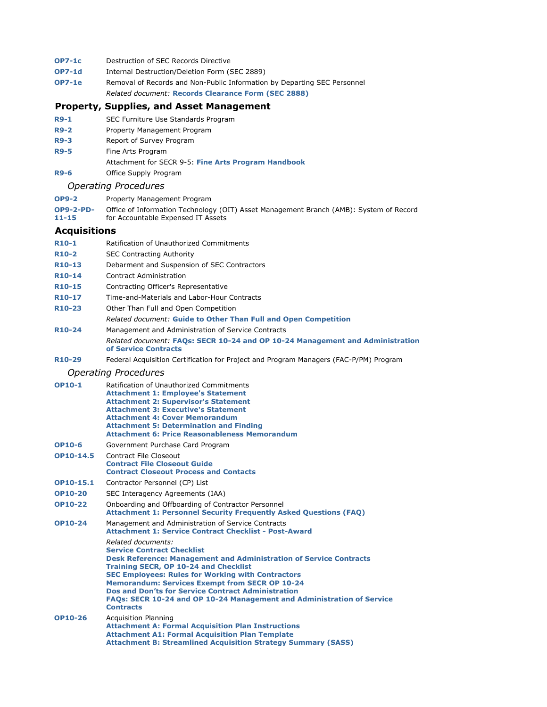- **OP7-1c** Destruction of SEC Records Directive
- **OP7-1d** Internal Destruction/Deletion Form (SEC 2889)
- **OP7-1e** Removal of Records and Non-Public Information by Departing SEC Personnel *Related document:* **Records Clearance Form (SEC 2888)**

#### **Property, Supplies, and Asset Management**

- **R9-1** SEC Furniture Use Standards Program
- **R9-2** Property Management Program
- **R9-3** Report of Survey Program
- **R9-5** Fine Arts Program
- Attachment for SECR 9-5: **Fine Arts Program Handbook**
- **R9-6** Office Supply Program

#### *Operating Procedures*

| <b>OP9-2</b> | Property Management Program |  |
|--------------|-----------------------------|--|
|--------------|-----------------------------|--|

| <b>OP9-2-PD-</b> | Office of Information Technology (OIT) Asset Management Branch (AMB): System of Record |
|------------------|----------------------------------------------------------------------------------------|
| $11 - 15$        | for Accountable Expensed IT Assets                                                     |

#### **Acquisitions**

| <b>R10-1</b>        | Ratification of Unauthorized Commitments    |
|---------------------|---------------------------------------------|
| <b>R10-2</b>        | <b>SEC Contracting Authority</b>            |
| R <sub>10</sub> -13 | Debarment and Suspension of SEC Contractors |
| R <sub>10</sub> -14 | <b>Contract Administration</b>              |

- **R10-15** Contracting Officer's Representative
- **R10-17** Time-and-Materials and Labor-Hour Contracts
- **R10-23** Other Than Full and Open Competition
	- *Related document:* **Guide to Other Than Full and Open Competition**
- **R10-24** Management and Administration of Service Contracts *Related document:* **FAQs: SECR 10-24 and OP 10-24 Management and Administration of Service Contracts**
- **R10-29** Federal Acquisition Certification for Project and Program Managers (FAC-P/PM) Program

#### *Operating Procedures*

| <b>OP10-1</b>  | Ratification of Unauthorized Commitments<br><b>Attachment 1: Employee's Statement</b><br><b>Attachment 2: Supervisor's Statement</b><br><b>Attachment 3: Executive's Statement</b><br><b>Attachment 4: Cover Memorandum</b><br><b>Attachment 5: Determination and Finding</b><br><b>Attachment 6: Price Reasonableness Memorandum</b>                                                                                                                                |
|----------------|----------------------------------------------------------------------------------------------------------------------------------------------------------------------------------------------------------------------------------------------------------------------------------------------------------------------------------------------------------------------------------------------------------------------------------------------------------------------|
| <b>OP10-6</b>  | Government Purchase Card Program                                                                                                                                                                                                                                                                                                                                                                                                                                     |
| OP10-14.5      | Contract File Closeout<br><b>Contract File Closeout Guide</b><br><b>Contract Closeout Process and Contacts</b>                                                                                                                                                                                                                                                                                                                                                       |
| OP10-15.1      | Contractor Personnel (CP) List                                                                                                                                                                                                                                                                                                                                                                                                                                       |
| <b>OP10-20</b> | SEC Interagency Agreements (IAA)                                                                                                                                                                                                                                                                                                                                                                                                                                     |
| <b>OP10-22</b> | Onboarding and Offboarding of Contractor Personnel<br><b>Attachment 1: Personnel Security Frequently Asked Questions (FAQ)</b>                                                                                                                                                                                                                                                                                                                                       |
| OP10-24        | Management and Administration of Service Contracts<br><b>Attachment 1: Service Contract Checklist - Post-Award</b>                                                                                                                                                                                                                                                                                                                                                   |
|                | Related documents:<br><b>Service Contract Checklist</b><br><b>Desk Reference: Management and Administration of Service Contracts</b><br><b>Training SECR, OP 10-24 and Checklist</b><br><b>SEC Employees: Rules for Working with Contractors</b><br><b>Memorandum: Services Exempt from SECR OP 10-24</b><br><b>Dos and Don'ts for Service Contract Administration</b><br>FAQs: SECR 10-24 and OP 10-24 Management and Administration of Service<br><b>Contracts</b> |
| OP10-26        | <b>Acquisition Planning</b><br><b>Attachment A: Formal Acquisition Plan Instructions</b><br><b>Attachment A1: Formal Acquisition Plan Template</b><br><b>Attachment B: Streamlined Acquisition Strategy Summary (SASS)</b>                                                                                                                                                                                                                                           |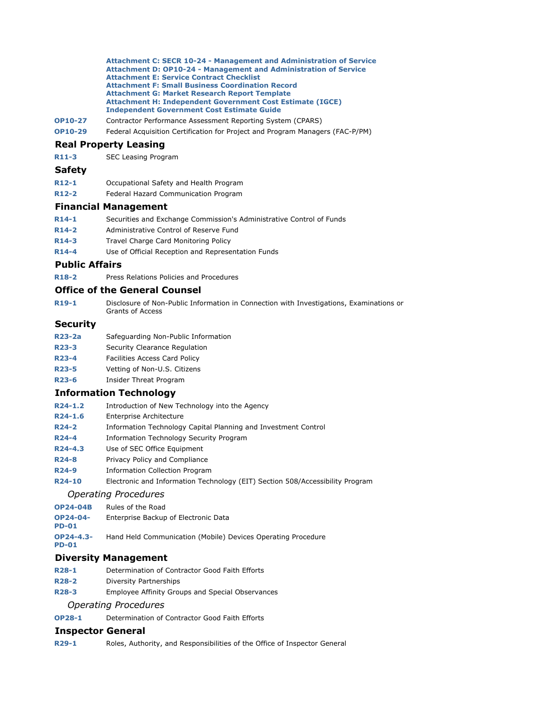**Attachment C: SECR 10-24 - Management and Administration of Service Attachment D: OP10-24 - Management and Administration of Service Attachment E: Service Contract Checklist Attachment F: Small Business Coordination Record Attachment G: Market Research Report Template Attachment H: Independent Government Cost Estimate (IGCE) Independent Government Cost Estimate Guide**

- **OP10-27** Contractor Performance Assessment Reporting System (CPARS)
- **OP10-29** Federal Acquisition Certification for Project and Program Managers (FAC-P/PM)

#### **Real Property Leasing**

**R11-3** SEC Leasing Program

#### **Safety**

- **R12-1** Occupational Safety and Health Program
- **R12-2** Federal Hazard Communication Program

#### **Financial Management**

- **R14-1** Securities and Exchange Commission's Administrative Control of Funds
- **R14-2** Administrative Control of Reserve Fund
- **R14-3** Travel Charge Card Monitoring Policy
- **R14-4** Use of Official Reception and Representation Funds

#### **Public Affairs**

**R18-2** Press Relations Policies and Procedures

### **Office of the General Counsel**

**R19-1** Disclosure of Non-Public Information in Connection with Investigations, Examinations or Grants of Access

#### **Security**

- **R23-2a** Safeguarding Non-Public Information
- **R23-3** Security Clearance Regulation
- **R23-4** Facilities Access Card Policy
- **R23-5** Vetting of Non-U.S. Citizens
- **R23-6** Insider Threat Program

#### **Information Technology**

- **R24-1.2** Introduction of New Technology into the Agency
- **R24-1.6** Enterprise Architecture
- **R24-2** Information Technology Capital Planning and Investment Control
- **R24-4** Information Technology Security Program
- **R24-4.3** Use of SEC Office Equipment
- **R24-8** Privacy Policy and Compliance
- **R24-9** Information Collection Program
- **R24-10** Electronic and Information Technology (EIT) Section 508/Accessibility Program

#### *Operating Procedures*

- **OP24-04B** Rules of the Road
- **OP24-04- PD-01** Enterprise Backup of Electronic Data
- **OP24-4.3-** Hand Held Communication (Mobile) Devices Operating Procedure

#### **Diversity Management**

**PD-01**

- **R28-1** Determination of Contractor Good Faith Efforts
- **R28-2** Diversity Partnerships
- **R28-3** Employee Affinity Groups and Special Observances

#### *Operating Procedures*

**OP28-1** Determination of Contractor Good Faith Efforts

#### **Inspector General**

**R29-1** Roles, Authority, and Responsibilities of the Office of Inspector General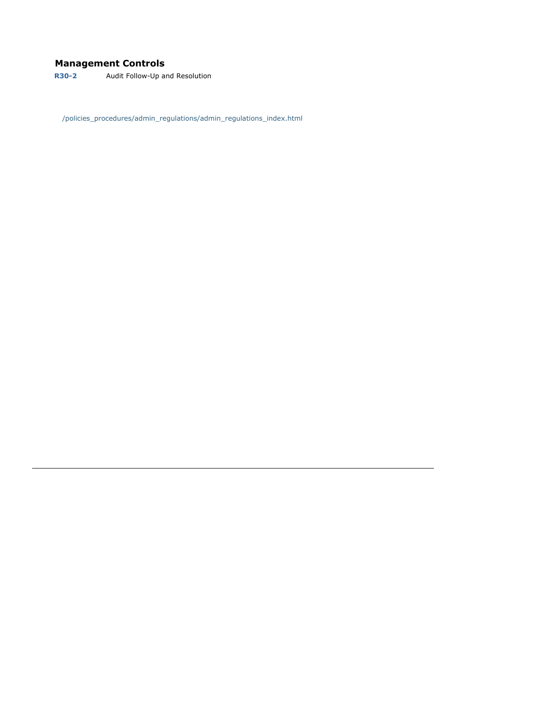# **Management Controls**

**R30-2** Audit Follow-Up and Resolution

/policies\_procedures/admin\_regulations/admin\_regulations\_index.html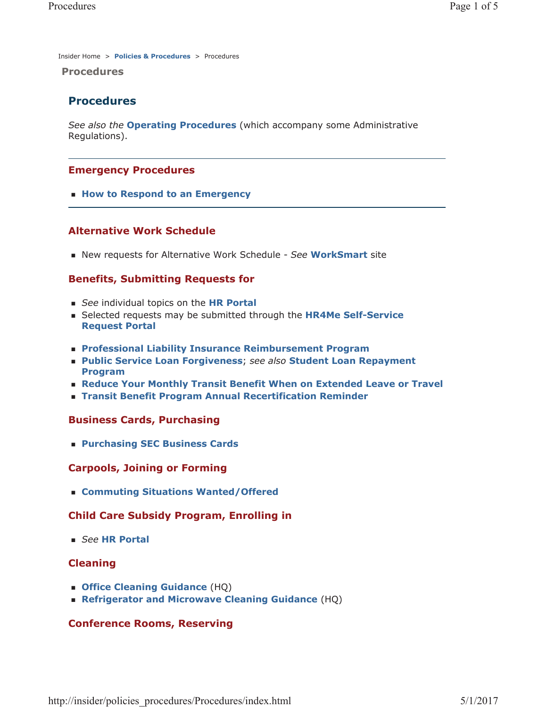Insider Home > **Policies & Procedures** > Procedures

**Procedures** 

# **Procedures**

*See also the* **Operating Procedures** (which accompany some Administrative Regulations).

# **Emergency Procedures**

**How to Respond to an Emergency** 

# **Alternative Work Schedule**

New requests for Alternative Work Schedule - *See* **WorkSmart** site

# **Benefits, Submitting Requests for**

- *See* individual topics on the **HR Portal**
- Selected requests may be submitted through the **HR4Me Self-Service Request Portal**
- **Professional Liability Insurance Reimbursement Program**
- **Public Service Loan Forgiveness**; *see also* **Student Loan Repayment Program**
- **Reduce Your Monthly Transit Benefit When on Extended Leave or Travel**
- **Transit Benefit Program Annual Recertification Reminder**

### **Business Cards, Purchasing**

**Purchasing SEC Business Cards**

### **Carpools, Joining or Forming**

**Commuting Situations Wanted/Offered**

# **Child Care Subsidy Program, Enrolling in**

*See* **HR Portal**

# **Cleaning**

- **Office Cleaning Guidance** (HQ)
- **Refrigerator and Microwave Cleaning Guidance** (HQ)

# **Conference Rooms, Reserving**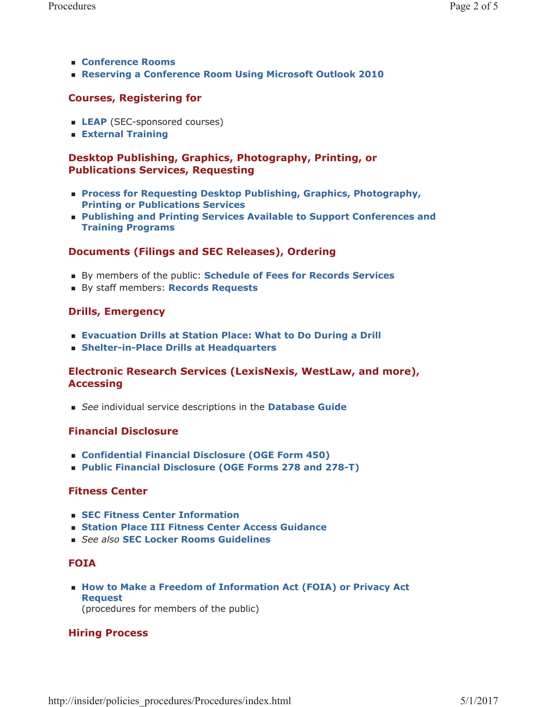- **Conference Rooms**
- **Reserving a Conference Room Using Microsoft Outlook 2010**

# **Courses, Registering for**

- **LEAP** (SEC-sponsored courses)
- **External Training**

# **Desktop Publishing, Graphics, Photography, Printing, or Publications Services, Requesting**

- **Process for Requesting Desktop Publishing, Graphics, Photography, Printing or Publications Services**
- **Publishing and Printing Services Available to Support Conferences and Training Programs**

# **Documents (Filings and SEC Releases), Ordering**

- By members of the public: **Schedule of Fees for Records Services**
- By staff members: **Records Requests**

# **Drills, Emergency**

- **Evacuation Drills at Station Place: What to Do During a Drill**
- **Shelter-in-Place Drills at Headquarters**

# **Electronic Research Services (LexisNexis, WestLaw, and more), Accessing**

*See* individual service descriptions in the **Database Guide**

# **Financial Disclosure**

- **Confidential Financial Disclosure (OGE Form 450)**
- **Public Financial Disclosure (OGE Forms 278 and 278-T)**

# **Fitness Center**

- **SEC Fitness Center Information**
- **Station Place III Fitness Center Access Guidance**
- *See also* **SEC Locker Rooms Guidelines**

# **FOIA**

**How to Make a Freedom of Information Act (FOIA) or Privacy Act Request** (procedures for members of the public)

# **Hiring Process**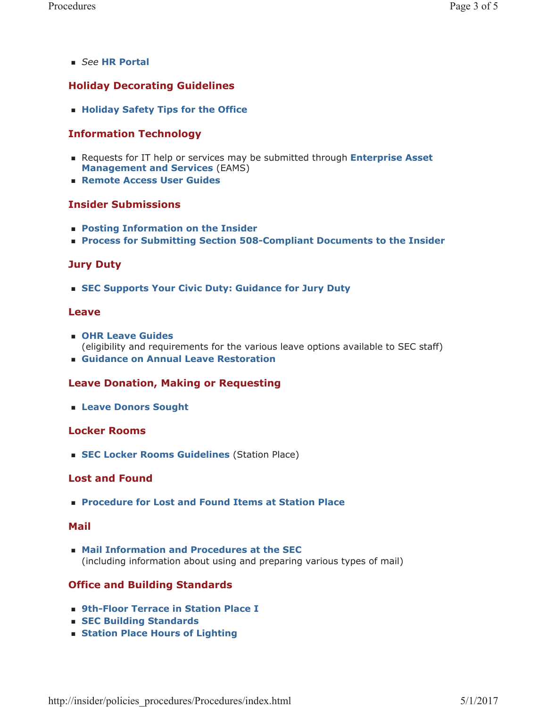*See* **HR Portal**

# **Holiday Decorating Guidelines**

**Holiday Safety Tips for the Office** 

# **Information Technology**

- Requests for IT help or services may be submitted through **Enterprise Asset Management and Services** (EAMS)
- **Remote Access User Guides**

### **Insider Submissions**

- **Posting Information on the Insider**
- **Process for Submitting Section 508-Compliant Documents to the Insider**

# **Jury Duty**

**SEC Supports Your Civic Duty: Guidance for Jury Duty**

### **Leave**

- **OHR Leave Guides** (eligibility and requirements for the various leave options available to SEC staff)
- **Guidance on Annual Leave Restoration**

# **Leave Donation, Making or Requesting**

**Leave Donors Sought**

### **Locker Rooms**

**SEC Locker Rooms Guidelines** (Station Place)

# **Lost and Found**

**Procedure for Lost and Found Items at Station Place**

### **Mail**

 **Mail Information and Procedures at the SEC** (including information about using and preparing various types of mail)

# **Office and Building Standards**

- **9th-Floor Terrace in Station Place I**
- **SEC Building Standards**
- **Station Place Hours of Lighting**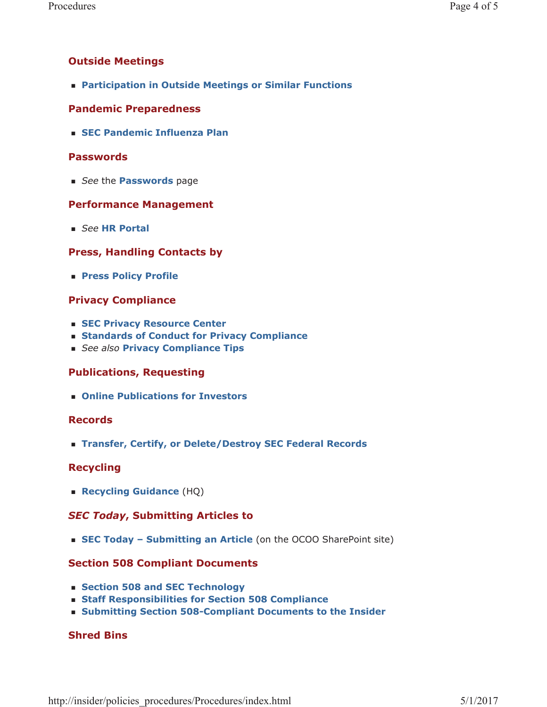# **Outside Meetings**

**Participation in Outside Meetings or Similar Functions**

# **Pandemic Preparedness**

**SEC Pandemic Influenza Plan**

# **Passwords**

*See* the **Passwords** page

# **Performance Management**

*See* **HR Portal**

# **Press, Handling Contacts by**

**Press Policy Profile**

# **Privacy Compliance**

- **SEC Privacy Resource Center**
- **Standards of Conduct for Privacy Compliance**
- *See also* **Privacy Compliance Tips**

# **Publications, Requesting**

**Online Publications for Investors**

# **Records**

**Transfer, Certify, or Delete/Destroy SEC Federal Records**

# **Recycling**

**Recycling Guidance** (HQ)

# *SEC Today***, Submitting Articles to**

**SEC Today – Submitting an Article** (on the OCOO SharePoint site)

# **Section 508 Compliant Documents**

- **Section 508 and SEC Technology**
- **Staff Responsibilities for Section 508 Compliance**
- **Submitting Section 508-Compliant Documents to the Insider**

# **Shred Bins**